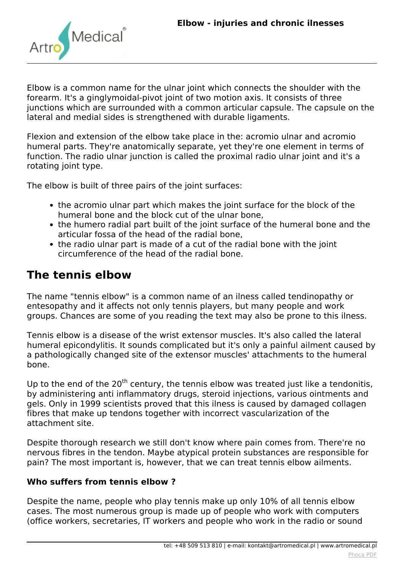

*Elbow is a common name for the ulnar joint which connects the shoulder with the forearm. It's a ginglymoidal-pivot joint of two motion axis. It consists of three junctions which are surrounded with a common articular capsule. The capsule on the lateral and medial sides is strengthened with durable ligaments.*

*Flexion and extension of the elbow take place in the: acromio ulnar and acromio humeral parts. They're anatomically separate, yet they're one element in terms of function. The radio ulnar junction is called the proximal radio ulnar joint and it's a rotating joint type.*

*The elbow is built of three pairs of the joint surfaces:*

- *the acromio ulnar part which makes the joint surface for the block of the humeral bone and the block cut of the ulnar bone,*
- *the humero radial part built of the joint surface of the humeral bone and the articular fossa of the head of the radial bone,*
- *the radio ulnar part is made of a cut of the radial bone with the joint circumference of the head of the radial bone.*

## **The tennis elbow**

*The name "tennis elbow" is a common name of an ilness called tendinopathy or entesopathy and it affects not only tennis players, but many people and work groups. Chances are some of you reading the text may also be prone to this ilness.*

*Tennis elbow is a disease of the wrist extensor muscles. It's also called the lateral humeral epicondylitis. It sounds complicated but it's only a painful ailment caused by a pathologically changed site of the extensor muscles' attachments to the humeral bone.*

*Up to the end of the 20th century, the tennis elbow was treated just like a tendonitis, by administering anti inflammatory drugs, steroid injections, various ointments and gels. Only in 1999 scientists proved that this ilness is caused by damaged collagen fibres that make up tendons together with incorrect vascularization of the attachment site.*

*Despite thorough research we still don't know where pain comes from. There're no nervous fibres in the tendon. Maybe atypical protein substances are responsible for pain? The most important is, however, that we can treat tennis elbow ailments.*

#### **Who suffers from tennis elbow ?**

*Despite the name, people who play tennis make up only 10% of all tennis elbow cases. The most numerous group is made up of people who work with computers (office workers, secretaries, IT workers and people who work in the radio or sound*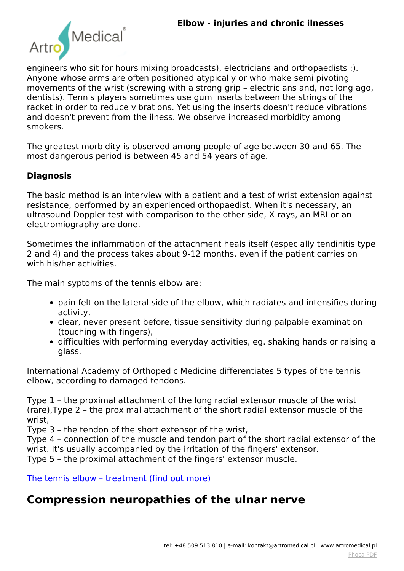

*engineers who sit for hours mixing broadcasts), electricians and orthopaedists :). Anyone whose arms are often positioned atypically or who make semi pivoting movements of the wrist (screwing with a strong grip – electricians and, not long ago, dentists). Tennis players sometimes use gum inserts between the strings of the racket in order to reduce vibrations. Yet using the inserts doesn't reduce vibrations and doesn't prevent from the ilness. We observe increased morbidity among smokers.*

*The greatest morbidity is observed among people of age between 30 and 65. The most dangerous period is between 45 and 54 years of age.*

### **Diagnosis**

*The basic method is an interview with a patient and a test of wrist extension against resistance, performed by an experienced orthopaedist. When it's necessary, an ultrasound Doppler test with comparison to the other side, X-rays, an MRI or an electromiography are done.*

*Sometimes the inflammation of the attachment heals itself (especially tendinitis type 2 and 4) and the process takes about 9-12 months, even if the patient carries on with his/her activities.*

*The main syptoms of the tennis elbow are:*

- *pain felt on the lateral side of the elbow, which radiates and intensifies during activity,*
- *clear, never present before, tissue sensitivity during palpable examination (touching with fingers),*
- *difficulties with performing everyday activities, eg. shaking hands or raising a glass.*

*International Academy of Orthopedic Medicine differentiates 5 types of the tennis elbow, according to damaged tendons.*

*Type 1 – the proximal attachment of the long radial extensor muscle of the wrist (rare),Type 2 – the proximal attachment of the short radial extensor muscle of the wrist,*

*Type 3 – the tendon of the short extensor of the wrist,*

*Type 4 – connection of the muscle and tendon part of the short radial extensor of the wrist. It's usually accompanied by the irritation of the fingers' extensor.*

*Type 5 – the proximal attachment of the fingers' extensor muscle.*

*[The tennis elbow – treatment \(find out more\)](index.php?option=com_content&view=article&id=150:elbow-treatment&catid=9:articles&Itemid=363#tennis)*

### **Compression neuropathies of the ulnar nerve**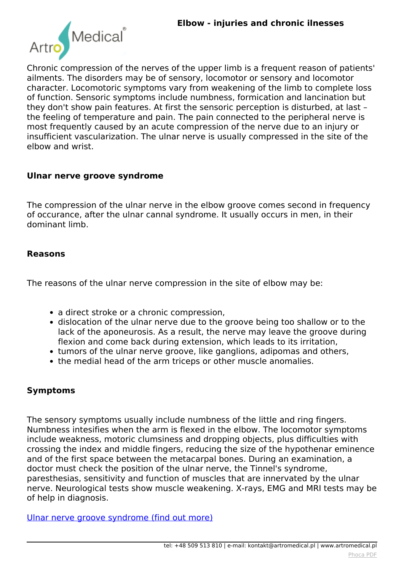

*Chronic compression of the nerves of the upper limb is a frequent reason of patients' ailments. The disorders may be of sensory, locomotor or sensory and locomotor character. Locomotoric symptoms vary from weakening of the limb to complete loss of function. Sensoric symptoms include numbness, formication and lancination but they don't show pain features. At first the sensoric perception is disturbed, at last – the feeling of temperature and pain. The pain connected to the peripheral nerve is most frequently caused by an acute compression of the nerve due to an injury or insufficient vascularization. The ulnar nerve is usually compressed in the site of the elbow and wrist.*

#### **Ulnar nerve groove syndrome**

*The compression of the ulnar nerve in the elbow groove comes second in frequency of occurance, after the ulnar cannal syndrome. It usually occurs in men, in their dominant limb.*

#### **Reasons**

*The reasons of the ulnar nerve compression in the site of elbow may be:*

- *a direct stroke or a chronic compression,*
- *dislocation of the ulnar nerve due to the groove being too shallow or to the lack of the aponeurosis. As a result, the nerve may leave the groove during flexion and come back during extension, which leads to its irritation,*
- *tumors of the ulnar nerve groove, like ganglions, adipomas and others,*
- *the medial head of the arm triceps or other muscle anomalies.*

#### **Symptoms**

*The sensory symptoms usually include numbness of the little and ring fingers. Numbness intesifies when the arm is flexed in the elbow. The locomotor symptoms include weakness, motoric clumsiness and dropping objects, plus difficulties with crossing the index and middle fingers, reducing the size of the hypothenar eminence and of the first space between the metacarpal bones. During an examination, a doctor must check the position of the ulnar nerve, the Tinnel's syndrome, paresthesias, sensitivity and function of muscles that are innervated by the ulnar nerve. Neurological tests show muscle weakening. X-rays, EMG and MRI tests may be of help in diagnosis.*

*[Ulnar nerve groove syndrome \(find out more\)](index.php?option=com_content&view=article&id=150:elbow-treatment&catid=9:articles&Itemid=363#ulnar)*